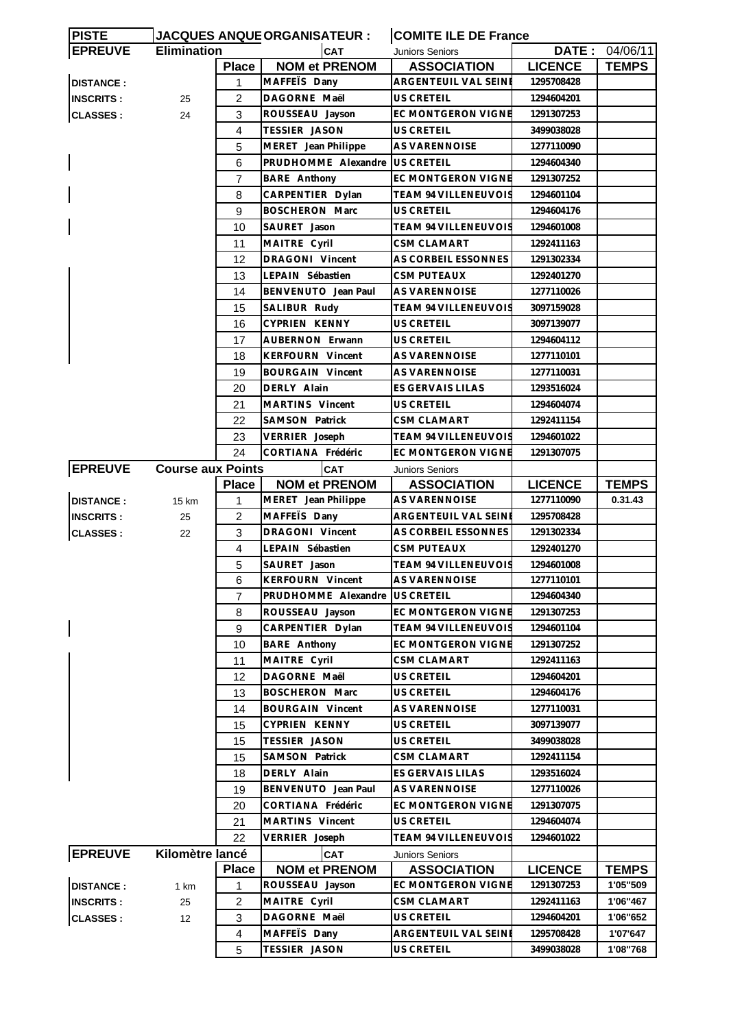| <b>PISTE</b>     |                          |                | JACQUES ANQUEORGANISATEUR : | <b>COMITE ILE DE France</b>           |                |                |
|------------------|--------------------------|----------------|-----------------------------|---------------------------------------|----------------|----------------|
| <b>EPREUVE</b>   | <b>Elimination</b>       |                | <b>CAT</b>                  | Juniors Seniors                       |                | DATE: 04/06/11 |
|                  |                          | <b>Place</b>   | <b>NOM et PRENOM</b>        | <b>ASSOCIATION</b>                    | <b>LICENCE</b> | <b>TEMPS</b>   |
| <b>DISTANCE:</b> |                          | $\mathbf{1}$   | MAFFETS Dany                | ARGENTEUIL VAL SEINI                  | 1295708428     |                |
| <b>INSCRITS:</b> | 25                       | 2              | DAGORNE Maël                | US CRETEIL                            | 1294604201     |                |
| <b>CLASSES:</b>  | 24                       | 3              | ROUSSEAU Jayson             | EC MONTGERON VIGNE                    | 1291307253     |                |
|                  |                          | 4              | <b>TESSIER JASON</b>        | US CRETEIL                            | 3499038028     |                |
|                  |                          | 5              | MERET Jean Philippe         | <b>AS VARENNOISE</b>                  | 1277110090     |                |
|                  |                          | 6              | PRUDHOMME Alexandre         | US CRETEIL                            | 1294604340     |                |
|                  |                          | $\overline{7}$ | <b>BARE Anthony</b>         | <b>EC MONTGERON VIGNE</b>             | 1291307252     |                |
|                  |                          | 8              |                             | <b>TEAM 94 VILLENEUVOIS</b>           | 1294601104     |                |
|                  |                          |                | CARPENTIER Dylan            |                                       |                |                |
|                  |                          | 9              | <b>BOSCHERON Marc</b>       | US CRETEIL                            | 1294604176     |                |
|                  |                          | 10             | SAURET Jason                | TEAM 94 VILLENEUVOIS                  | 1294601008     |                |
|                  |                          | 11             | MAITRE Cyril                | CSM CLAMART                           | 1292411163     |                |
|                  |                          | 12             | DRAGONI Vincent             | AS CORBEIL ESSONNES                   | 1291302334     |                |
|                  |                          | 13             | LEPAIN Sébastien            | <b>CSM PUTEAUX</b>                    | 1292401270     |                |
|                  |                          | 14             | BENVENUTO Jean Paul         | AS VARENNOISE                         | 1277110026     |                |
|                  |                          | 15             | SALIBUR Rudy                | <b>TEAM 94 VILLENEUVOIS</b>           | 3097159028     |                |
|                  |                          | 16             | CYPRIEN KENNY               | US CRETEIL                            | 3097139077     |                |
|                  |                          | 17             | <b>AUBERNON Erwann</b>      | US CRETEIL                            | 1294604112     |                |
|                  |                          | 18             | <b>KERFOURN Vincent</b>     | AS VARENNOISE                         | 1277110101     |                |
|                  |                          | 19             | <b>BOURGAIN Vincent</b>     | AS VARENNOISE                         | 1277110031     |                |
|                  |                          | 20             | DERLY Alain                 | ES GERVAIS LILAS                      | 1293516024     |                |
|                  |                          | 21             | MARTINS Vincent             | US CRETEIL                            | 1294604074     |                |
|                  |                          | 22             | <b>SAMSON Patrick</b>       | CSM CLAMART                           | 1292411154     |                |
|                  |                          | 23             | VERRIER Joseph              | TEAM 94 VILLENEUVOIS                  | 1294601022     |                |
|                  |                          | 24             | CORTIANA Frédéric           | EC MONTGERON VIGNE                    | 1291307075     |                |
| <b>EPREUVE</b>   | <b>Course aux Points</b> |                | <b>CAT</b>                  |                                       |                |                |
|                  |                          | <b>Place</b>   | <b>NOM et PRENOM</b>        | Juniors Seniors<br><b>ASSOCIATION</b> | <b>LICENCE</b> | <b>TEMPS</b>   |
|                  |                          |                |                             | AS VARENNOISE                         | 1277110090     | 0.31.43        |
| <b>DISTANCE:</b> | 15 km                    | 1              | MERET Jean Philippe         |                                       |                |                |
| <b>INSCRITS:</b> | 25                       | 2              | MAFFETS Dany                | ARGENTEUIL VAL SEINE                  | 1295708428     |                |
| <b>CLASSES:</b>  | 22                       | 3              | DRAGONI Vincent             | AS CORBEIL ESSONNES                   | 1291302334     |                |
|                  |                          | 4              | LEPAIN Sébastien            | <b>CSM PUTEAUX</b>                    | 1292401270     |                |
|                  |                          | 5              | SAURET Jason                | <b>TEAM 94 VILLENEUVOIS</b>           | 1294601008     |                |
|                  |                          | $\,6$          | KERFOURN Vincent            | AS VARENNOISE                         | 1277110101     |                |
|                  |                          | $\overline{7}$ | PRUDHOMME Alexandre         | US CRETEIL                            | 1294604340     |                |
|                  |                          | 8              | ROUSSEAU Jayson             | EC MONTGERON VIGNE                    | 1291307253     |                |
|                  |                          | 9              | CARPENTIER Dylan            | TEAM 94 VILLENEUVOIS                  | 1294601104     |                |
|                  |                          | 10             | BARE Anthony                | EC MONTGERON VIGNE                    | 1291307252     |                |
|                  |                          | 11             | MAITRE Cyril                | <b>CSM CLAMART</b>                    | 1292411163     |                |
|                  |                          | 12             | DAGORNE Maël                | US CRETEIL                            | 1294604201     |                |
|                  |                          | 13             | <b>BOSCHERON Marc</b>       | US CRETEIL                            | 1294604176     |                |
|                  |                          | 14             | <b>BOURGAIN Vincent</b>     | AS VARENNOISE                         | 1277110031     |                |
|                  |                          | 15             | CYPRIEN KENNY               | US CRETEIL                            | 3097139077     |                |
|                  |                          | 15             | <b>TESSIER JASON</b>        | US CRETEIL                            | 3499038028     |                |
|                  |                          | 15             | SAMSON Patrick              | <b>CSM CLAMART</b>                    | 1292411154     |                |
|                  |                          | 18             | DERLY Alain                 | ES GERVAIS LILAS                      | 1293516024     |                |
|                  |                          | 19             | BENVENUTO Jean Paul         | <b>AS VARENNOISE</b>                  | 1277110026     |                |
|                  |                          | 20             | CORTIANA Frédéric           | EC MONTGERON VIGNE                    | 1291307075     |                |
|                  |                          | 21             | MARTINS Vincent             | US CRETEIL                            | 1294604074     |                |
|                  |                          | 22             | VERRIER Joseph              | <b>TEAM 94 VILLENEUVOIS</b>           | 1294601022     |                |
| <b>EPREUVE</b>   | Kilomètre lancé          |                | <b>CAT</b>                  |                                       |                |                |
|                  |                          |                |                             | <b>Juniors Seniors</b>                |                |                |
|                  |                          | <b>Place</b>   | <b>NOM et PRENOM</b>        | <b>ASSOCIATION</b>                    | <b>LICENCE</b> | <b>TEMPS</b>   |
| <b>DISTANCE:</b> | 1 km                     | 1              | ROUSSEAU Jayson             | EC MONTGERON VIGNE                    | 1291307253     | 1'05"509       |
| <b>INSCRITS:</b> | 25                       | $\overline{2}$ | MAITRE Cyril                | <b>CSM CLAMART</b>                    | 1292411163     | 1'06"467       |
| <b>CLASSES:</b>  | 12                       | 3              | DAGORNE Maël                | US CRETEIL                            | 1294604201     | 1'06"652       |
|                  |                          | 4              | MAFFETS Dany                | ARGENTEUIL VAL SEINE                  | 1295708428     | 1'07'647       |
|                  |                          | 5              | TESSIER JASON               | US CRETEIL                            | 3499038028     | 1'08"768       |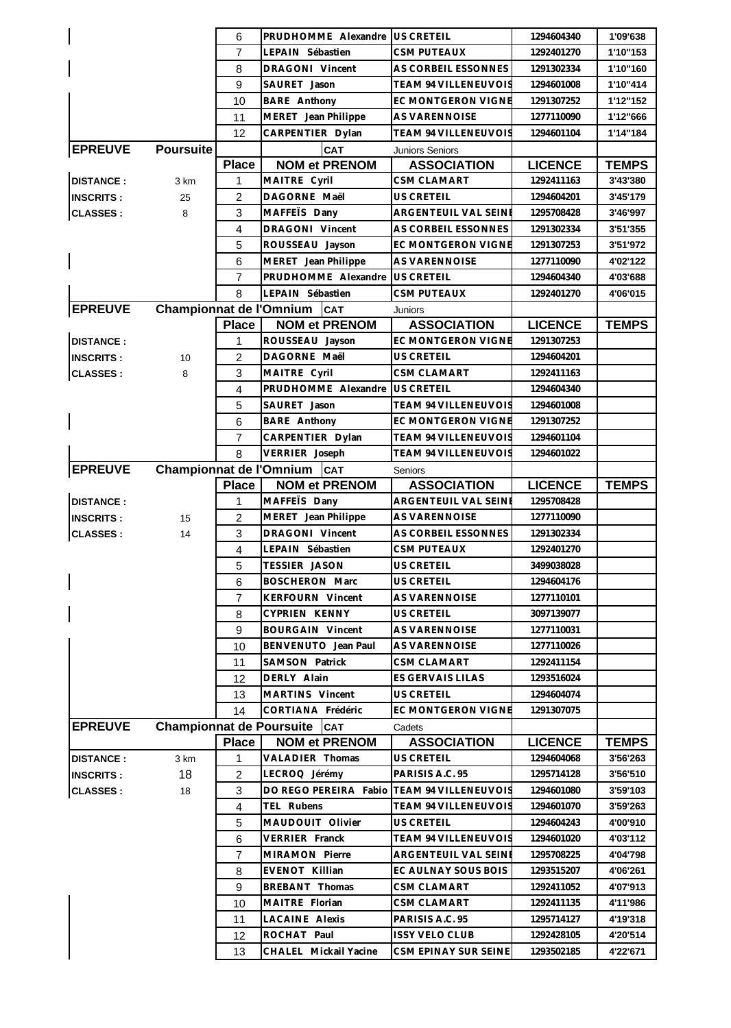|                  |                                 | 6              | PRUDHOMME Alexandre US CRETEIL                              |                                             | 1294604340               | 1'09'638             |
|------------------|---------------------------------|----------------|-------------------------------------------------------------|---------------------------------------------|--------------------------|----------------------|
|                  |                                 | $\overline{7}$ | LEPAIN Sébastien                                            | <b>CSM PUTEAUX</b>                          | 1292401270               | 1'10"153             |
|                  |                                 | 8              | DRAGONI Vincent                                             | AS CORBEIL ESSONNES                         | 1291302334               | 1'10"160             |
|                  |                                 | 9              | SAURET Jason                                                | TEAM 94 VILLENEUVOIS                        | 1294601008               | 1'10"414             |
|                  |                                 | 10             | BARE Anthony                                                | EC MONTGERON VIGNE                          | 1291307252               | 1'12"152             |
|                  |                                 | 11             | MERET Jean Philippe                                         | AS VARENNOISE                               | 1277110090               | 1'12"666             |
|                  |                                 | 12             | CARPENTIER Dylan                                            | <b>TEAM 94 VILLENEUVOIS</b>                 | 1294601104               | 1'14"184             |
| <b>EPREUVE</b>   | <b>Poursuite</b>                |                | CAT                                                         | Juniors Seniors                             |                          |                      |
|                  |                                 | <b>Place</b>   | <b>NOM et PRENOM</b>                                        | <b>ASSOCIATION</b>                          | <b>LICENCE</b>           | <b>TEMPS</b>         |
| <b>DISTANCE:</b> | 3 km                            | 1              | MAITRE Cyril                                                | CSM CLAMART                                 | 1292411163               | 3'43'380             |
| <b>INSCRITS:</b> | 25                              | $\overline{2}$ | DAGORNE Maël                                                | <b>US CRETEIL</b>                           | 1294604201               | 3'45'179             |
| <b>CLASSES:</b>  | 8                               | 3              | MAFFETS Dany                                                | ARGENTEUIL VAL SEINE                        | 1295708428               | 3'46'997             |
|                  |                                 | $\overline{4}$ | DRAGONI Vincent                                             | AS CORBEIL ESSONNES                         | 1291302334               | 3'51'355             |
|                  |                                 | 5              | ROUSSEAU Jayson                                             | EC MONTGERON VIGNE                          | 1291307253               | 3'51'972             |
|                  |                                 | 6              | MERET Jean Philippe                                         | AS VARENNOISE                               | 1277110090               | 4'02'122             |
|                  |                                 | $\overline{7}$ | PRUDHOMME Alexandre                                         | <b>US CRETEIL</b>                           | 1294604340               | 4'03'688             |
|                  |                                 | 8              | LEPAIN Sébastien                                            | CSM PUTEAUX                                 | 1292401270               | 4'06'015             |
| <b>EPREUVE</b>   |                                 |                | Championnat de l'Omnium   CAT                               | Juniors                                     |                          |                      |
|                  |                                 | <b>Place</b>   | <b>NOM et PRENOM</b>                                        | <b>ASSOCIATION</b>                          | <b>LICENCE</b>           | <b>TEMPS</b>         |
| <b>DISTANCE:</b> |                                 | 1              | ROUSSEAU Jayson                                             | EC MONTGERON VIGNE                          | 1291307253               |                      |
| <b>INSCRITS:</b> | 10                              | $\overline{2}$ | DAGORNE Maël                                                | <b>US CRETEIL</b>                           | 1294604201               |                      |
| <b>CLASSES:</b>  | 8                               | 3              | MAITRE Cyril                                                | <b>CSM CLAMART</b>                          | 1292411163               |                      |
|                  |                                 | 4              | PRUDHOMME Alexandre                                         | <b>US CRETEIL</b>                           | 1294604340               |                      |
|                  |                                 | 5              | SAURET Jason                                                | TEAM 94 VILLENEUVOIS                        | 1294601008               |                      |
|                  |                                 | 6              | BARE Anthony                                                | EC MONTGERON VIGNE                          | 1291307252               |                      |
|                  |                                 | $\overline{7}$ | CARPENTIER Dylan                                            | <b>TEAM 94 VILLENEUVOIS</b>                 | 1294601104               |                      |
|                  |                                 | 8              | VERRIER Joseph                                              | TEAM 94 VILLENEUVOIS                        | 1294601022               |                      |
| <b>EPREUVE</b>   | <b>Championnat de l'Omnium</b>  |                | <b>CAT</b>                                                  | Seniors                                     |                          |                      |
|                  |                                 | <b>Place</b>   | <b>NOM et PRENOM</b>                                        | <b>ASSOCIATION</b>                          | <b>LICENCE</b>           | <b>TEMPS</b>         |
| <b>DISTANCE:</b> |                                 | 1              | MAFFETS Dany                                                | ARGENTEUIL VAL SEINE                        | 1295708428               |                      |
| <b>INSCRITS:</b> | 15                              | $\overline{2}$ | MERET Jean Philippe                                         | <b>AS VARENNOISE</b>                        | 1277110090               |                      |
| <b>CLASSES:</b>  | 14                              | 3              | DRAGONI Vincent                                             | AS CORBEIL ESSONNES                         | 1291302334               |                      |
|                  |                                 | 4              | LEPAIN Sébastien                                            | <b>CSM PUTEAUX</b>                          | 1292401270               |                      |
|                  |                                 | 5              | TESSIER JASON                                               | US CRETEIL                                  | 3499038028               |                      |
|                  |                                 | 6              | <b>BOSCHERON Marc</b>                                       | <b>US CRETEIL</b>                           | 1294604176               |                      |
|                  |                                 | $\overline{7}$ | <b>KERFOURN Vincent</b>                                     | <b>AS VARENNOISE</b>                        | 1277110101               |                      |
|                  |                                 | 8              | CYPRIEN KENNY                                               | <b>US CRETEIL</b>                           | 3097139077               |                      |
|                  |                                 | 9              | <b>BOURGAIN Vincent</b>                                     | AS VARENNOISE                               | 1277110031               |                      |
|                  |                                 | 10             | BENVENUTO Jean Paul                                         | AS VARENNOISE                               | 1277110026               |                      |
|                  |                                 | 11             | SAMSON Patrick                                              | <b>CSM CLAMART</b>                          | 1292411154               |                      |
|                  |                                 | 12             | DERLY Alain                                                 | ES GERVAIS LILAS                            | 1293516024               |                      |
|                  |                                 | 13             | MARTINS Vincent                                             | <b>US CRETEIL</b>                           | 1294604074               |                      |
|                  |                                 | 14             | CORTIANA Frédéric                                           | <b>EC MONTGERON VIGNE</b>                   | 1291307075               |                      |
| <b>EPREUVE</b>   | <b>Championnat de Poursuite</b> |                | CAT                                                         | Cadets                                      |                          |                      |
|                  |                                 | <b>Place</b>   | <b>NOM et PRENOM</b>                                        | <b>ASSOCIATION</b>                          | <b>LICENCE</b>           | <b>TEMPS</b>         |
| <b>DISTANCE:</b> | 3 km<br>18                      | 1              | VALADIER Thomas                                             | <b>US CRETEIL</b><br>PARISIS A.C. 95        | 1294604068<br>1295714128 | 3'56'263<br>3'56'510 |
| <b>INSCRITS:</b> |                                 | 2<br>3         | LECROQ Jérémy<br>DO REGO PEREIRA Fabio TEAM 94 VILLENEUVOIS |                                             | 1294601080               | 3'59'103             |
| <b>CLASSES:</b>  | 18                              | 4              | TEL Rubens                                                  | TEAM 94 VILLENEUVOIS                        | 1294601070               | 3'59'263             |
|                  |                                 |                |                                                             |                                             |                          |                      |
|                  |                                 | 5<br>6         | MAUDOUIT Olivier<br>VERRIER Franck                          | US CRETEIL<br>TEAM 94 VILLENEUVOIS          | 1294604243<br>1294601020 | 4'00'910<br>4'03'112 |
|                  |                                 | 7              |                                                             |                                             | 1295708225               | 4'04'798             |
|                  |                                 | 8              | MIRAMON Pierre<br>EVENOT Killian                            | ARGENTEUIL VAL SEINI<br>EC AULNAY SOUS BOIS | 1293515207               | 4'06'261             |
|                  |                                 | 9              |                                                             |                                             |                          |                      |
|                  |                                 |                | BREBANT Thomas                                              | <b>CSM CLAMART</b>                          | 1292411052               | 4'07'913             |
|                  |                                 | 10             | MAITRE Florian<br><b>LACAINE Alexis</b>                     | CSM CLAMART<br>PARISIS A.C. 95              | 1292411135<br>1295714127 | 4'11'986<br>4'19'318 |
|                  |                                 | 11             | ROCHAT Paul                                                 | <b>ISSY VELO CLUB</b>                       | 1292428105               | 4'20'514             |
|                  |                                 | 12             | CHALEL Mickail Yacine                                       | CSM EPINAY SUR SEINE                        | 1293502185               | 4'22'671             |
|                  |                                 | 13             |                                                             |                                             |                          |                      |